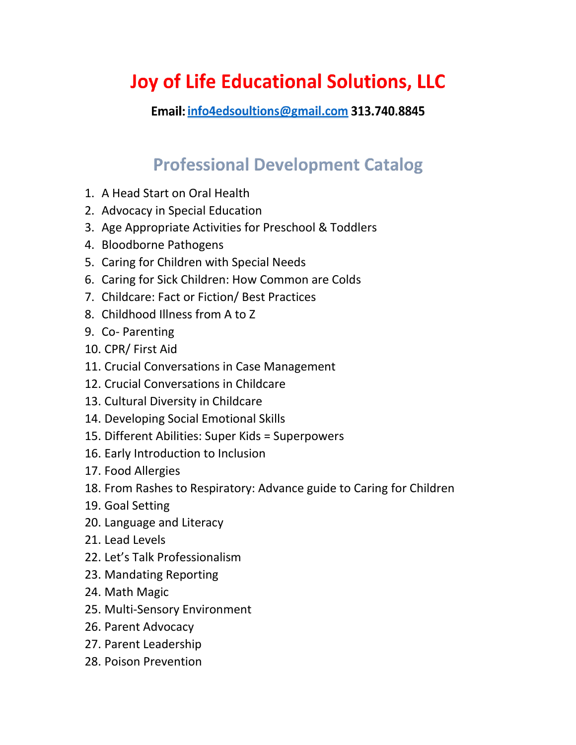## **Joy of Life Educational Solutions, LLC**

Email: info4edsoultions@gmail.com 313.740.8845

## **Professional Development Catalog**

- 1. A Head Start on Oral Health
- 2. Advocacy in Special Education
- 3. Age Appropriate Activities for Preschool & Toddlers
- 4. Bloodborne Pathogens
- 5. Caring for Children with Special Needs
- 6. Caring for Sick Children: How Common are Colds
- 7. Childcare: Fact or Fiction/ Best Practices
- 8. Childhood Illness from A to Z
- 9. Co- Parenting
- 10. CPR/ First Aid
- 11. Crucial Conversations in Case Management
- 12. Crucial Conversations in Childcare
- 13. Cultural Diversity in Childcare
- 14. Developing Social Emotional Skills
- 15. Different Abilities: Super Kids = Superpowers
- 16. Early Introduction to Inclusion
- 17. Food Allergies
- 18. From Rashes to Respiratory: Advance guide to Caring for Children
- 19. Goal Setting
- 20. Language and Literacy
- 21. Lead Levels
- 22. Let's Talk Professionalism
- 23. Mandating Reporting
- 24. Math Magic
- 25. Multi-Sensory Environment
- 26. Parent Advocacy
- 27. Parent Leadership
- 28. Poison Prevention